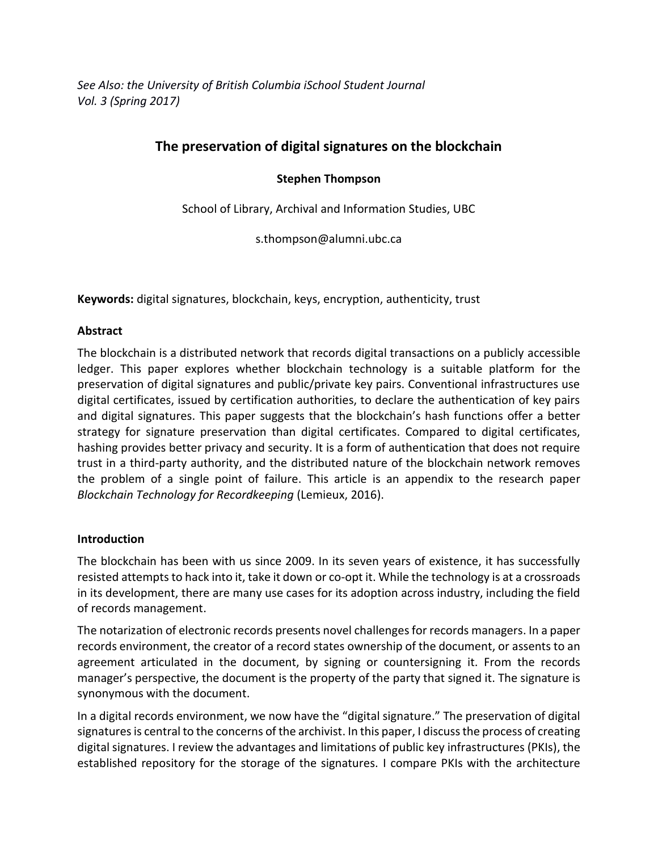*See Also: the University of British Columbia iSchool Student Journal Vol. 3 (Spring 2017)*

# **The preservation of digital signatures on the blockchain**

# **Stephen Thompson**

School of Library, Archival and Information Studies, UBC

s.thompson@alumni.ubc.ca

**Keywords:** digital signatures, blockchain, keys, encryption, authenticity, trust

## **Abstract**

The blockchain is a distributed network that records digital transactions on a publicly accessible ledger. This paper explores whether blockchain technology is a suitable platform for the preservation of digital signatures and public/private key pairs. Conventional infrastructures use digital certificates, issued by certification authorities, to declare the authentication of key pairs and digital signatures. This paper suggests that the blockchain's hash functions offer a better strategy for signature preservation than digital certificates. Compared to digital certificates, hashing provides better privacy and security. It is a form of authentication that does not require trust in a third-party authority, and the distributed nature of the blockchain network removes the problem of a single point of failure. This article is an appendix to the research paper *Blockchain Technology for Recordkeeping* (Lemieux, 2016).

## **Introduction**

The blockchain has been with us since 2009. In its seven years of existence, it has successfully resisted attempts to hack into it, take it down or co-opt it. While the technology is at a crossroads in its development, there are many use cases for its adoption across industry, including the field of records management.

The notarization of electronic records presents novel challenges for records managers. In a paper records environment, the creator of a record states ownership of the document, or assents to an agreement articulated in the document, by signing or countersigning it. From the records manager's perspective, the document is the property of the party that signed it. The signature is synonymous with the document.

In a digital records environment, we now have the "digital signature." The preservation of digital signatures is central to the concerns of the archivist. In this paper, I discuss the process of creating digital signatures. I review the advantages and limitations of public key infrastructures (PKIs), the established repository for the storage of the signatures. I compare PKIs with the architecture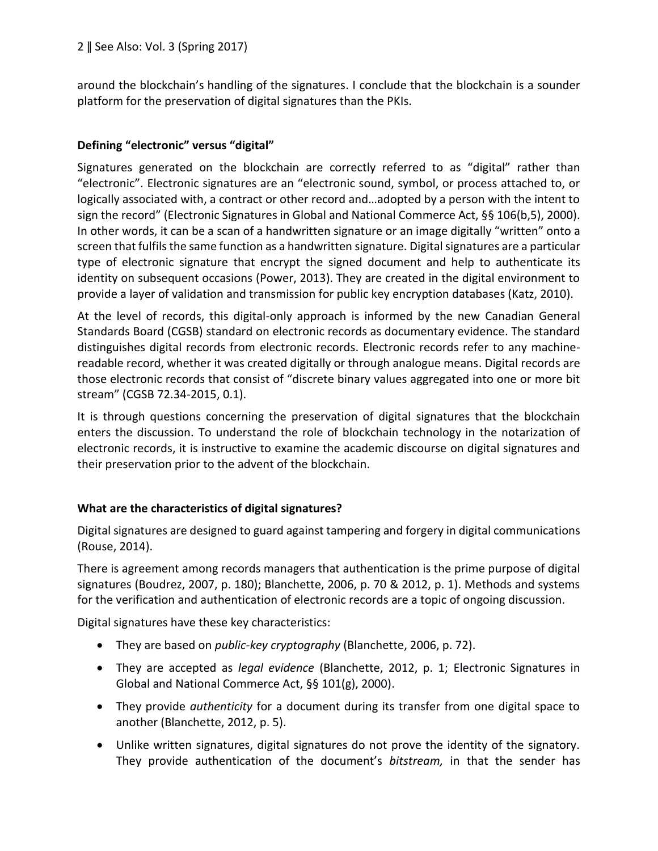around the blockchain's handling of the signatures. I conclude that the blockchain is a sounder platform for the preservation of digital signatures than the PKIs.

# **Defining "electronic" versus "digital"**

Signatures generated on the blockchain are correctly referred to as "digital" rather than "electronic". Electronic signatures are an "electronic sound, symbol, or process attached to, or logically associated with, a contract or other record and…adopted by a person with the intent to sign the record" (Electronic Signatures in Global and National Commerce Act, §§ 106(b,5), 2000). In other words, it can be a scan of a handwritten signature or an image digitally "written" onto a screen that fulfils the same function as a handwritten signature. Digital signatures are a particular type of electronic signature that encrypt the signed document and help to authenticate its identity on subsequent occasions (Power, 2013). They are created in the digital environment to provide a layer of validation and transmission for public key encryption databases (Katz, 2010).

At the level of records, this digital-only approach is informed by the new Canadian General Standards Board (CGSB) standard on electronic records as documentary evidence. The standard distinguishes digital records from electronic records. Electronic records refer to any machinereadable record, whether it was created digitally or through analogue means. Digital records are those electronic records that consist of "discrete binary values aggregated into one or more bit stream" (CGSB 72.34-2015, 0.1).

It is through questions concerning the preservation of digital signatures that the blockchain enters the discussion. To understand the role of blockchain technology in the notarization of electronic records, it is instructive to examine the academic discourse on digital signatures and their preservation prior to the advent of the blockchain.

# **What are the characteristics of digital signatures?**

Digital signatures are designed to guard against tampering and forgery in digital communications (Rouse, 2014).

There is agreement among records managers that authentication is the prime purpose of digital signatures (Boudrez, 2007, p. 180); Blanchette, 2006, p. 70 & 2012, p. 1). Methods and systems for the verification and authentication of electronic records are a topic of ongoing discussion.

Digital signatures have these key characteristics:

- They are based on *public-key cryptography* (Blanchette, 2006, p. 72).
- They are accepted as *legal evidence* (Blanchette, 2012, p. 1; Electronic Signatures in Global and National Commerce Act, §§ 101(g), 2000).
- They provide *authenticity* for a document during its transfer from one digital space to another (Blanchette, 2012, p. 5).
- Unlike written signatures, digital signatures do not prove the identity of the signatory. They provide authentication of the document's *bitstream,* in that the sender has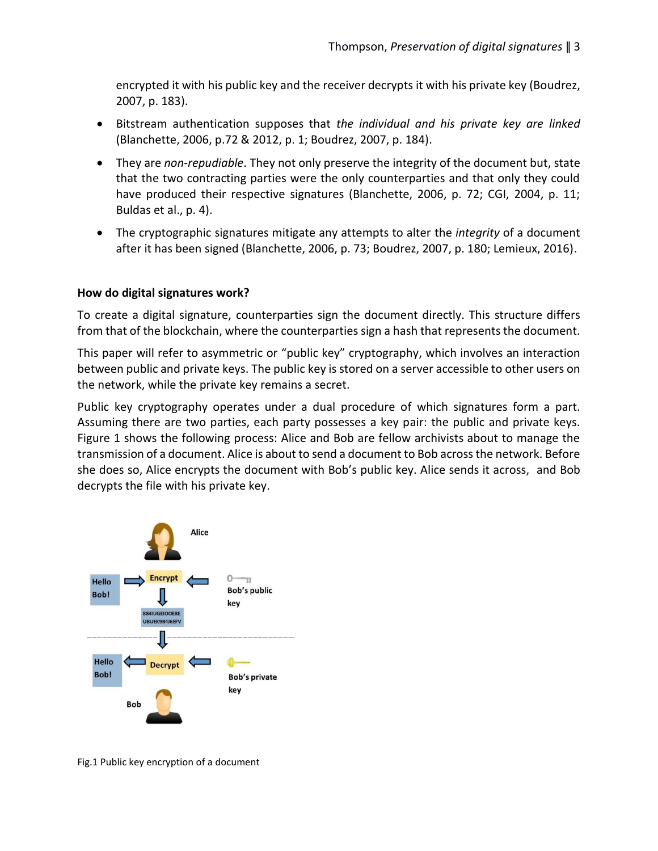encrypted it with his public key and the receiver decrypts it with his private key (Boudrez, 2007, p. 183).

- Bitstream authentication supposes that *the individual and his private key are linked* (Blanchette, 2006, p.72 & 2012, p. 1; Boudrez, 2007, p. 184).
- They are *non-repudiable*. They not only preserve the integrity of the document but, state that the two contracting parties were the only counterparties and that only they could have produced their respective signatures (Blanchette, 2006, p. 72; CGI, 2004, p. 11; Buldas et al., p. 4).
- The cryptographic signatures mitigate any attempts to alter the *integrity* of a document after it has been signed (Blanchette, 2006, p. 73; Boudrez, 2007, p. 180; Lemieux, 2016).

## **How do digital signatures work?**

To create a digital signature, counterparties sign the document directly. This structure differs from that of the blockchain, where the counterparties sign a hash that represents the document.

This paper will refer to asymmetric or "public key" cryptography, which involves an interaction between public and private keys. The public key is stored on a server accessible to other users on the network, while the private key remains a secret.

Public key cryptography operates under a dual procedure of which signatures form a part. Assuming there are two parties, each party possesses a key pair: the public and private keys. Figure 1 shows the following process: Alice and Bob are fellow archivists about to manage the transmission of a document. Alice is about to send a document to Bob across the network. Before she does so, Alice encrypts the document with Bob's public key. Alice sends it across, and Bob decrypts the file with his private key.



Fig.1 Public key encryption of a document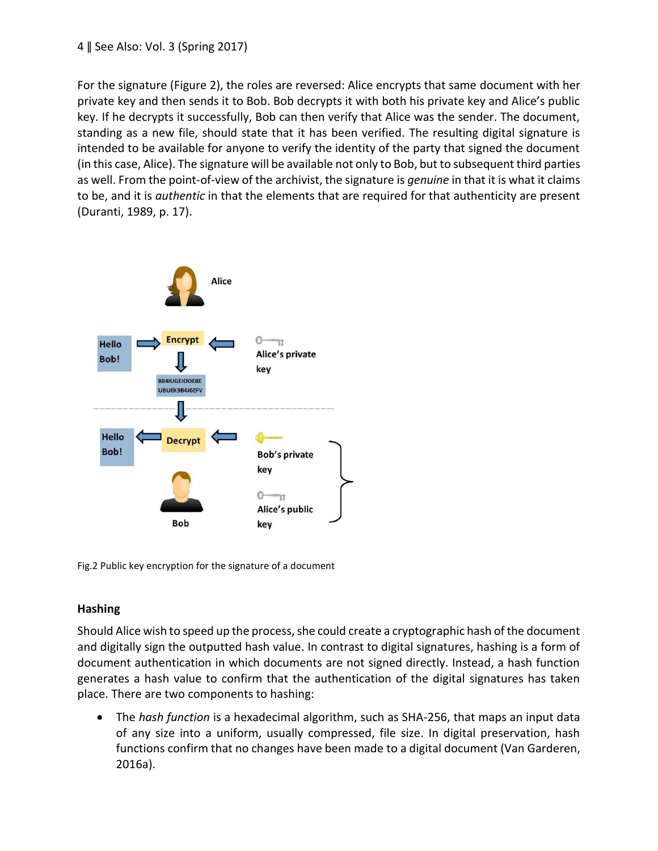#### 4 ǁ See Also: Vol. 3 (Spring 2017)

For the signature (Figure 2), the roles are reversed: Alice encrypts that same document with her private key and then sends it to Bob. Bob decrypts it with both his private key and Alice's public key. If he decrypts it successfully, Bob can then verify that Alice was the sender. The document, standing as a new file, should state that it has been verified. The resulting digital signature is intended to be available for anyone to verify the identity of the party that signed the document (in this case, Alice). The signature will be available not only to Bob, but to subsequent third parties as well. From the point-of-view of the archivist, the signature is *genuine* in that it is what it claims to be, and it is *authentic* in that the elements that are required for that authenticity are present (Duranti, 1989, p. 17).



Fig.2 Public key encryption for the signature of a document

## **Hashing**

Should Alice wish to speed up the process, she could create a cryptographic hash of the document and digitally sign the outputted hash value. In contrast to digital signatures, hashing is a form of document authentication in which documents are not signed directly. Instead, a hash function generates a hash value to confirm that the authentication of the digital signatures has taken place. There are two components to hashing:

• The *hash function* is a hexadecimal algorithm, such as SHA-256, that maps an input data of any size into a uniform, usually compressed, file size. In digital preservation, hash functions confirm that no changes have been made to a digital document (Van Garderen, 2016a).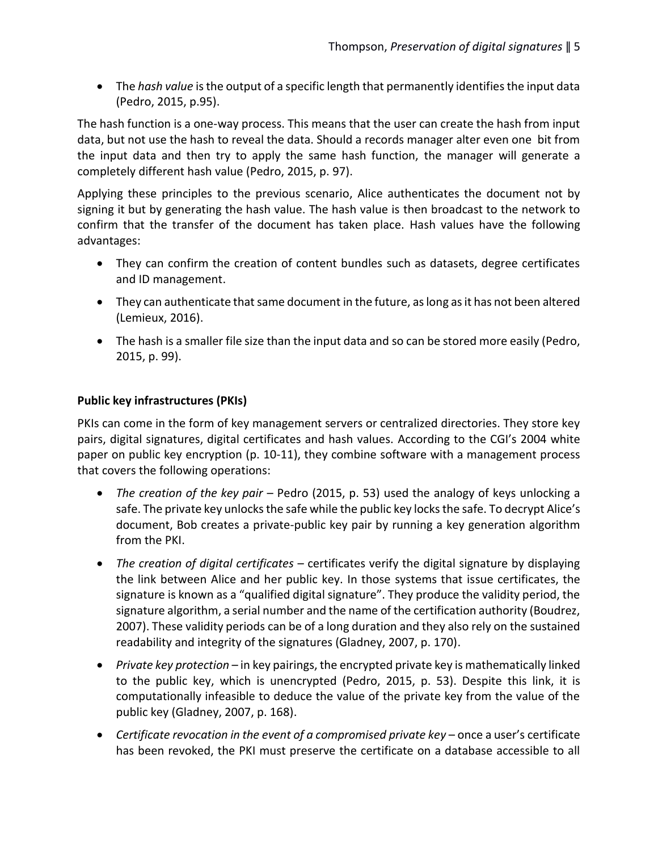• The *hash value* is the output of a specific length that permanently identifies the input data (Pedro, 2015, p.95).

The hash function is a one-way process. This means that the user can create the hash from input data, but not use the hash to reveal the data. Should a records manager alter even one bit from the input data and then try to apply the same hash function, the manager will generate a completely different hash value (Pedro, 2015, p. 97).

Applying these principles to the previous scenario, Alice authenticates the document not by signing it but by generating the hash value. The hash value is then broadcast to the network to confirm that the transfer of the document has taken place. Hash values have the following advantages:

- They can confirm the creation of content bundles such as datasets, degree certificates and ID management.
- They can authenticate that same document in the future, as long as it has not been altered (Lemieux, 2016).
- The hash is a smaller file size than the input data and so can be stored more easily (Pedro, 2015, p. 99).

## **Public key infrastructures (PKIs)**

PKIs can come in the form of key management servers or centralized directories. They store key pairs, digital signatures, digital certificates and hash values. According to the CGI's 2004 white paper on public key encryption (p. 10-11), they combine software with a management process that covers the following operations:

- *The creation of the key pair*  Pedro (2015, p. 53) used the analogy of keys unlocking a safe. The private key unlocks the safe while the public key locks the safe. To decrypt Alice's document, Bob creates a private-public key pair by running a key generation algorithm from the PKI.
- *The creation of digital certificates*  certificates verify the digital signature by displaying the link between Alice and her public key. In those systems that issue certificates, the signature is known as a "qualified digital signature". They produce the validity period, the signature algorithm, a serial number and the name of the certification authority (Boudrez, 2007). These validity periods can be of a long duration and they also rely on the sustained readability and integrity of the signatures (Gladney, 2007, p. 170).
- *Private key protection* in key pairings, the encrypted private key is mathematically linked to the public key, which is unencrypted (Pedro, 2015, p. 53). Despite this link, it is computationally infeasible to deduce the value of the private key from the value of the public key (Gladney, 2007, p. 168).
- *Certificate revocation in the event of a compromised private key* once a user's certificate has been revoked, the PKI must preserve the certificate on a database accessible to all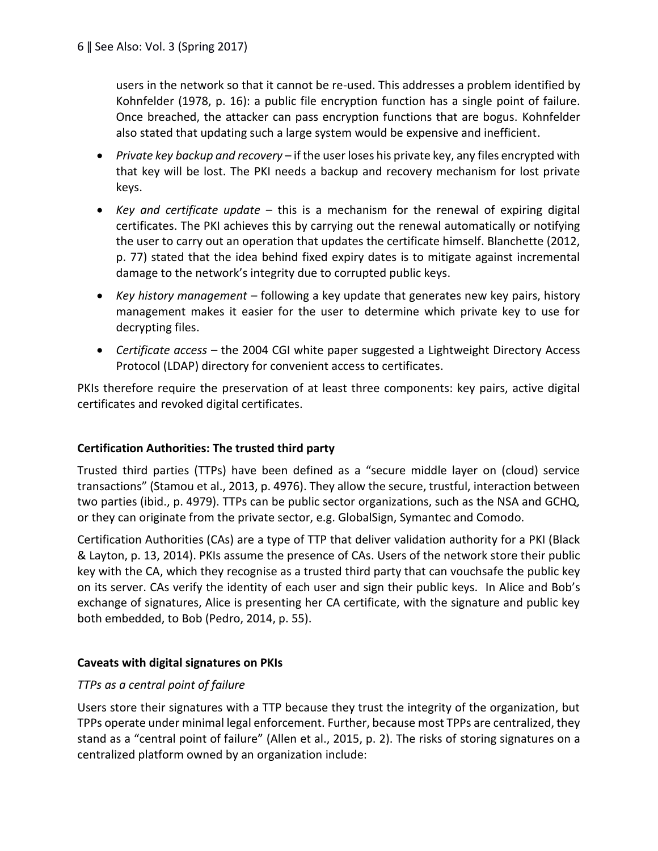users in the network so that it cannot be re-used. This addresses a problem identified by Kohnfelder (1978, p. 16): a public file encryption function has a single point of failure. Once breached, the attacker can pass encryption functions that are bogus. Kohnfelder also stated that updating such a large system would be expensive and inefficient.

- *Private key backup and recovery* if the user loses his private key, any files encrypted with that key will be lost. The PKI needs a backup and recovery mechanism for lost private keys.
- *Key and certificate update*  this is a mechanism for the renewal of expiring digital certificates. The PKI achieves this by carrying out the renewal automatically or notifying the user to carry out an operation that updates the certificate himself. Blanchette (2012, p. 77) stated that the idea behind fixed expiry dates is to mitigate against incremental damage to the network's integrity due to corrupted public keys.
- *Key history management*  following a key update that generates new key pairs, history management makes it easier for the user to determine which private key to use for decrypting files.
- *Certificate access –* the 2004 CGI white paper suggested a Lightweight Directory Access Protocol (LDAP) directory for convenient access to certificates.

PKIs therefore require the preservation of at least three components: key pairs, active digital certificates and revoked digital certificates.

# **Certification Authorities: The trusted third party**

Trusted third parties (TTPs) have been defined as a "secure middle layer on (cloud) service transactions" (Stamou et al., 2013, p. 4976). They allow the secure, trustful, interaction between two parties (ibid., p. 4979). TTPs can be public sector organizations, such as the NSA and GCHQ, or they can originate from the private sector, e.g. GlobalSign, Symantec and Comodo.

Certification Authorities (CAs) are a type of TTP that deliver validation authority for a PKI (Black & Layton, p. 13, 2014). PKIs assume the presence of CAs. Users of the network store their public key with the CA, which they recognise as a trusted third party that can vouchsafe the public key on its server. CAs verify the identity of each user and sign their public keys. In Alice and Bob's exchange of signatures, Alice is presenting her CA certificate, with the signature and public key both embedded, to Bob (Pedro, 2014, p. 55).

## **Caveats with digital signatures on PKIs**

## *TTPs as a central point of failure*

Users store their signatures with a TTP because they trust the integrity of the organization, but TPPs operate under minimal legal enforcement. Further, because most TPPs are centralized, they stand as a "central point of failure" (Allen et al., 2015, p. 2). The risks of storing signatures on a centralized platform owned by an organization include: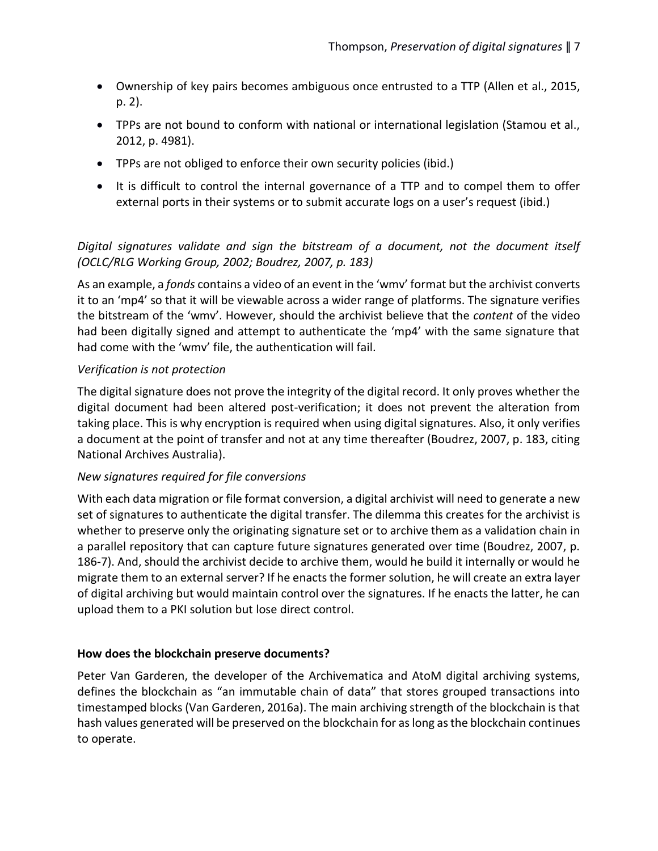- Ownership of key pairs becomes ambiguous once entrusted to a TTP (Allen et al., 2015, p. 2).
- TPPs are not bound to conform with national or international legislation (Stamou et al., 2012, p. 4981).
- TPPs are not obliged to enforce their own security policies (ibid.)
- It is difficult to control the internal governance of a TTP and to compel them to offer external ports in their systems or to submit accurate logs on a user's request (ibid.)

# *Digital signatures validate and sign the bitstream of a document, not the document itself (OCLC/RLG Working Group, 2002; Boudrez, 2007, p. 183)*

As an example, a *fonds* contains a video of an event in the 'wmv' format but the archivist converts it to an 'mp4' so that it will be viewable across a wider range of platforms. The signature verifies the bitstream of the 'wmv'. However, should the archivist believe that the *content* of the video had been digitally signed and attempt to authenticate the 'mp4' with the same signature that had come with the 'wmv' file, the authentication will fail.

## *Verification is not protection*

The digital signature does not prove the integrity of the digital record. It only proves whether the digital document had been altered post-verification; it does not prevent the alteration from taking place. This is why encryption is required when using digital signatures. Also, it only verifies a document at the point of transfer and not at any time thereafter (Boudrez, 2007, p. 183, citing National Archives Australia).

## *New signatures required for file conversions*

With each data migration or file format conversion, a digital archivist will need to generate a new set of signatures to authenticate the digital transfer. The dilemma this creates for the archivist is whether to preserve only the originating signature set or to archive them as a validation chain in a parallel repository that can capture future signatures generated over time (Boudrez, 2007, p. 186-7). And, should the archivist decide to archive them, would he build it internally or would he migrate them to an external server? If he enacts the former solution, he will create an extra layer of digital archiving but would maintain control over the signatures. If he enacts the latter, he can upload them to a PKI solution but lose direct control.

## **How does the blockchain preserve documents?**

Peter Van Garderen, the developer of the Archivematica and AtoM digital archiving systems, defines the blockchain as "an immutable chain of data" that stores grouped transactions into timestamped blocks (Van Garderen, 2016a). The main archiving strength of the blockchain is that hash values generated will be preserved on the blockchain for as long as the blockchain continues to operate.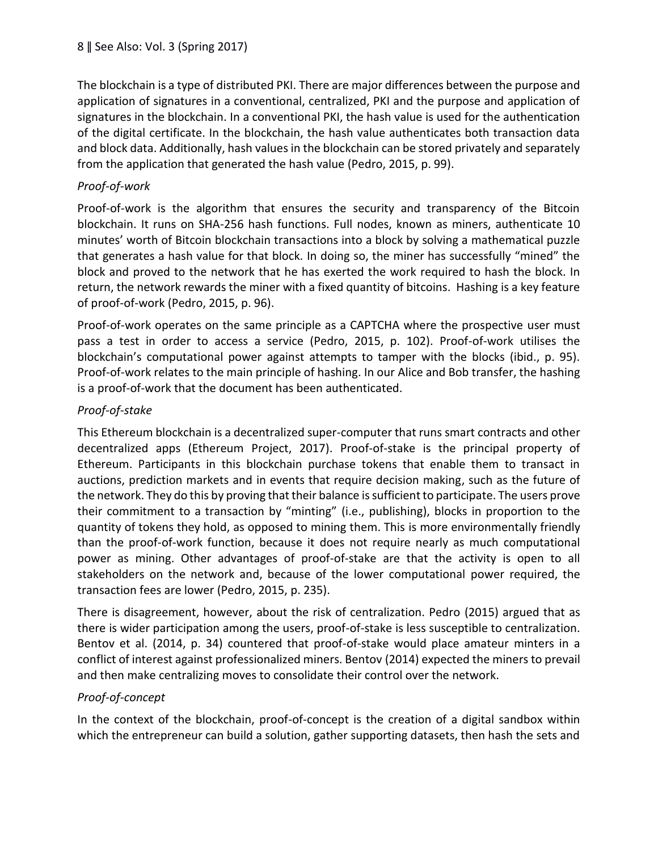The blockchain is a type of distributed PKI. There are major differences between the purpose and application of signatures in a conventional, centralized, PKI and the purpose and application of signatures in the blockchain. In a conventional PKI, the hash value is used for the authentication of the digital certificate. In the blockchain, the hash value authenticates both transaction data and block data. Additionally, hash values in the blockchain can be stored privately and separately from the application that generated the hash value (Pedro, 2015, p. 99).

# *Proof-of-work*

Proof-of-work is the algorithm that ensures the security and transparency of the Bitcoin blockchain. It runs on SHA-256 hash functions. Full nodes, known as miners, authenticate 10 minutes' worth of Bitcoin blockchain transactions into a block by solving a mathematical puzzle that generates a hash value for that block. In doing so, the miner has successfully "mined" the block and proved to the network that he has exerted the work required to hash the block. In return, the network rewards the miner with a fixed quantity of bitcoins. Hashing is a key feature of proof-of-work (Pedro, 2015, p. 96).

Proof-of-work operates on the same principle as a CAPTCHA where the prospective user must pass a test in order to access a service (Pedro, 2015, p. 102). Proof-of-work utilises the blockchain's computational power against attempts to tamper with the blocks (ibid., p. 95). Proof-of-work relates to the main principle of hashing. In our Alice and Bob transfer, the hashing is a proof-of-work that the document has been authenticated.

## *Proof-of-stake*

This Ethereum blockchain is a decentralized super-computer that runs smart contracts and other decentralized apps (Ethereum Project, 2017). Proof-of-stake is the principal property of Ethereum. Participants in this blockchain purchase tokens that enable them to transact in auctions, prediction markets and in events that require decision making, such as the future of the network. They do this by proving that their balance is sufficient to participate. The users prove their commitment to a transaction by "minting" (i.e., publishing), blocks in proportion to the quantity of tokens they hold, as opposed to mining them. This is more environmentally friendly than the proof-of-work function, because it does not require nearly as much computational power as mining. Other advantages of proof-of-stake are that the activity is open to all stakeholders on the network and, because of the lower computational power required, the transaction fees are lower (Pedro, 2015, p. 235).

There is disagreement, however, about the risk of centralization. Pedro (2015) argued that as there is wider participation among the users, proof-of-stake is less susceptible to centralization. Bentov et al. (2014, p. 34) countered that proof-of-stake would place amateur minters in a conflict of interest against professionalized miners. Bentov (2014) expected the miners to prevail and then make centralizing moves to consolidate their control over the network.

# *Proof-of-concept*

In the context of the blockchain, proof-of-concept is the creation of a digital sandbox within which the entrepreneur can build a solution, gather supporting datasets, then hash the sets and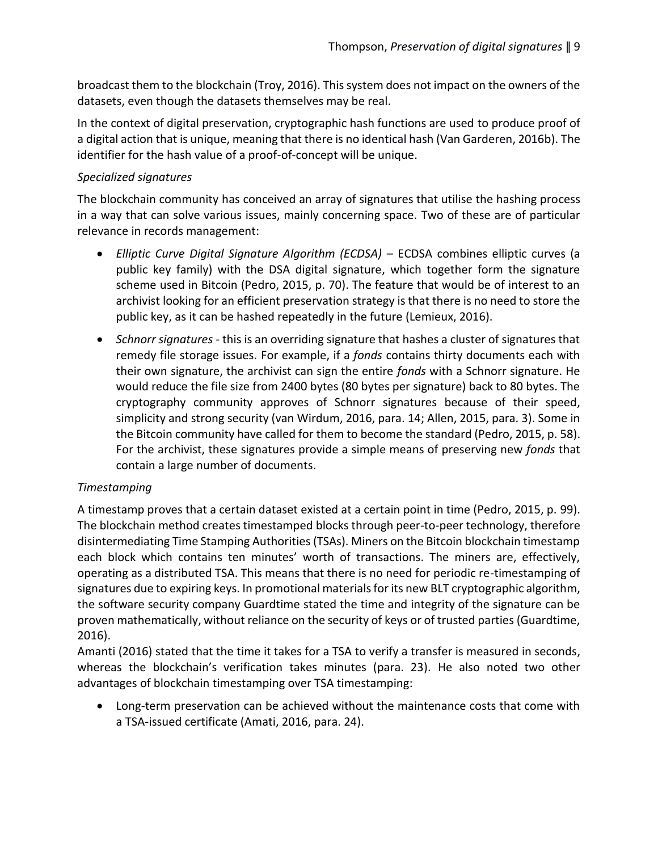broadcast them to the blockchain (Troy, 2016). This system does not impact on the owners of the datasets, even though the datasets themselves may be real.

In the context of digital preservation, cryptographic hash functions are used to produce proof of a digital action that is unique, meaning that there is no identical hash (Van Garderen, 2016b). The identifier for the hash value of a proof-of-concept will be unique.

#### *Specialized signatures*

The blockchain community has conceived an array of signatures that utilise the hashing process in a way that can solve various issues, mainly concerning space. Two of these are of particular relevance in records management:

- *Elliptic Curve Digital Signature Algorithm (ECDSA)* ECDSA combines elliptic curves (a public key family) with the DSA digital signature, which together form the signature scheme used in Bitcoin (Pedro, 2015, p. 70). The feature that would be of interest to an archivist looking for an efficient preservation strategy is that there is no need to store the public key, as it can be hashed repeatedly in the future (Lemieux, 2016).
- *Schnorr signatures* this is an overriding signature that hashes a cluster of signatures that remedy file storage issues. For example, if a *fonds* contains thirty documents each with their own signature, the archivist can sign the entire *fonds* with a Schnorr signature. He would reduce the file size from 2400 bytes (80 bytes per signature) back to 80 bytes. The cryptography community approves of Schnorr signatures because of their speed, simplicity and strong security (van Wirdum, 2016, para. 14; Allen, 2015, para. 3). Some in the Bitcoin community have called for them to become the standard (Pedro, 2015, p. 58). For the archivist, these signatures provide a simple means of preserving new *fonds* that contain a large number of documents.

## *Timestamping*

A timestamp proves that a certain dataset existed at a certain point in time (Pedro, 2015, p. 99). The blockchain method creates timestamped blocks through peer-to-peer technology, therefore disintermediating Time Stamping Authorities (TSAs). Miners on the Bitcoin blockchain timestamp each block which contains ten minutes' worth of transactions. The miners are, effectively, operating as a distributed TSA. This means that there is no need for periodic re-timestamping of signatures due to expiring keys. In promotional materials for its new BLT cryptographic algorithm, the software security company Guardtime stated the time and integrity of the signature can be proven mathematically, without reliance on the security of keys or of trusted parties (Guardtime, 2016).

Amanti (2016) stated that the time it takes for a TSA to verify a transfer is measured in seconds, whereas the blockchain's verification takes minutes (para. 23). He also noted two other advantages of blockchain timestamping over TSA timestamping:

• Long-term preservation can be achieved without the maintenance costs that come with a TSA-issued certificate (Amati, 2016, para. 24).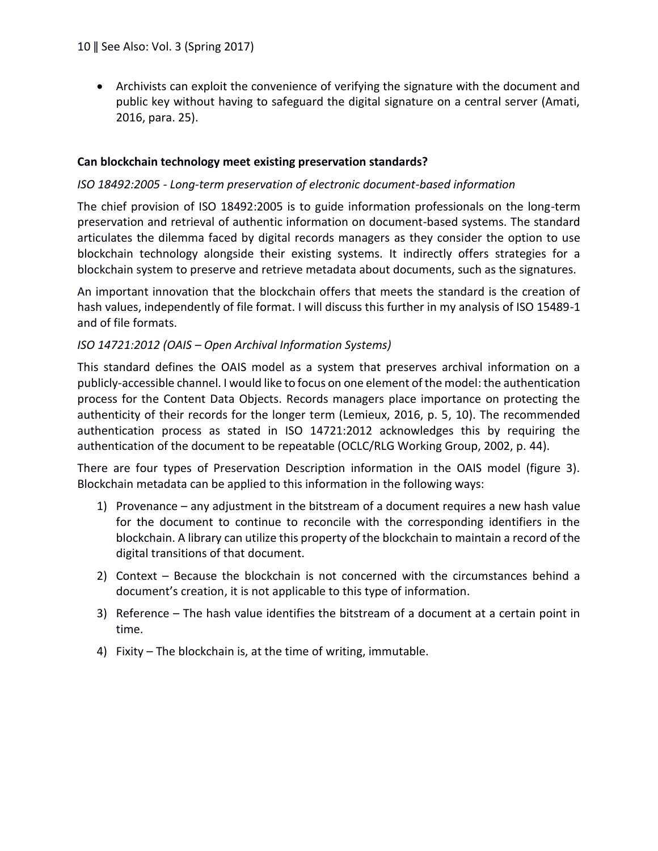• Archivists can exploit the convenience of verifying the signature with the document and public key without having to safeguard the digital signature on a central server (Amati, 2016, para. 25).

#### **Can blockchain technology meet existing preservation standards?**

#### *ISO 18492:2005 - Long-term preservation of electronic document-based information*

The chief provision of ISO 18492:2005 is to guide information professionals on the long-term preservation and retrieval of authentic information on document-based systems. The standard articulates the dilemma faced by digital records managers as they consider the option to use blockchain technology alongside their existing systems. It indirectly offers strategies for a blockchain system to preserve and retrieve metadata about documents, such as the signatures.

An important innovation that the blockchain offers that meets the standard is the creation of hash values, independently of file format. I will discuss this further in my analysis of ISO 15489-1 and of file formats.

#### *ISO 14721:2012 (OAIS – Open Archival Information Systems)*

This standard defines the OAIS model as a system that preserves archival information on a publicly-accessible channel. I would like to focus on one element of the model: the authentication process for the Content Data Objects. Records managers place importance on protecting the authenticity of their records for the longer term (Lemieux, 2016, p. 5, 10). The recommended authentication process as stated in ISO 14721:2012 acknowledges this by requiring the authentication of the document to be repeatable (OCLC/RLG Working Group, 2002, p. 44).

There are four types of Preservation Description information in the OAIS model (figure 3). Blockchain metadata can be applied to this information in the following ways:

- 1) Provenance any adjustment in the bitstream of a document requires a new hash value for the document to continue to reconcile with the corresponding identifiers in the blockchain. A library can utilize this property of the blockchain to maintain a record of the digital transitions of that document.
- 2) Context Because the blockchain is not concerned with the circumstances behind a document's creation, it is not applicable to this type of information.
- 3) Reference The hash value identifies the bitstream of a document at a certain point in time.
- 4) Fixity The blockchain is, at the time of writing, immutable.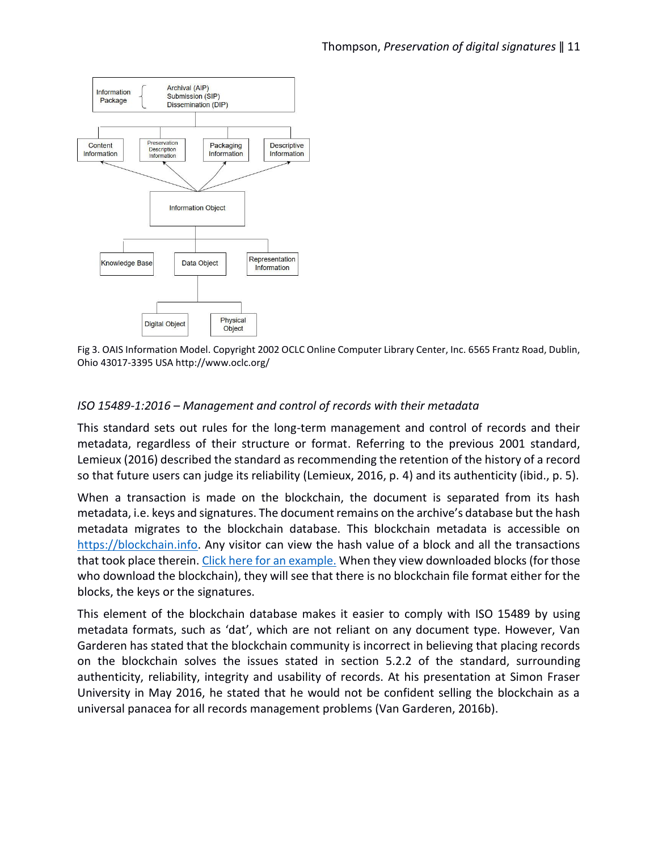

Fig 3. OAIS Information Model. Copyright 2002 OCLC Online Computer Library Center, Inc. 6565 Frantz Road, Dublin, Ohio 43017-3395 USA http://www.oclc.org/

## *ISO 15489-1:2016 – Management and control of records with their metadata*

This standard sets out rules for the long-term management and control of records and their metadata, regardless of their structure or format. Referring to the previous 2001 standard, Lemieux (2016) described the standard as recommending the retention of the history of a record so that future users can judge its reliability (Lemieux, 2016, p. 4) and its authenticity (ibid., p. 5).

When a transaction is made on the blockchain, the document is separated from its hash metadata, i.e. keys and signatures. The document remains on the archive's database but the hash metadata migrates to the blockchain database. This blockchain metadata is accessible on [https://blockchain.info.](https://blockchain.info/) Any visitor can view the hash value of a block and all the transactions that took place therein. [Click here for an example.](https://blockchain.info/block/000000000000000003a1763017b0db6412e74d3b0a60905c211a58706804edc4) When they view downloaded blocks (for those who download the blockchain), they will see that there is no blockchain file format either for the blocks, the keys or the signatures.

This element of the blockchain database makes it easier to comply with ISO 15489 by using metadata formats, such as 'dat', which are not reliant on any document type. However, Van Garderen has stated that the blockchain community is incorrect in believing that placing records on the blockchain solves the issues stated in section 5.2.2 of the standard, surrounding authenticity, reliability, integrity and usability of records. At his presentation at Simon Fraser University in May 2016, he stated that he would not be confident selling the blockchain as a universal panacea for all records management problems (Van Garderen, 2016b).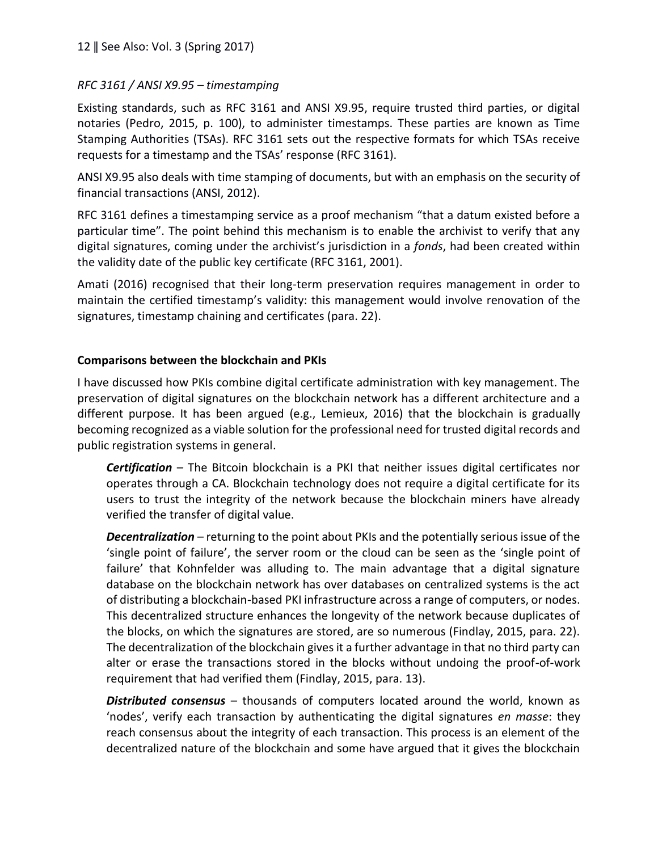#### *RFC 3161 / ANSI X9.95 – timestamping*

Existing standards, such as RFC 3161 and ANSI X9.95, require trusted third parties, or digital notaries (Pedro, 2015, p. 100), to administer timestamps. These parties are known as Time Stamping Authorities (TSAs). RFC 3161 sets out the respective formats for which TSAs receive requests for a timestamp and the TSAs' response (RFC 3161).

ANSI X9.95 also deals with time stamping of documents, but with an emphasis on the security of financial transactions (ANSI, 2012).

RFC 3161 defines a timestamping service as a proof mechanism "that a datum existed before a particular time". The point behind this mechanism is to enable the archivist to verify that any digital signatures, coming under the archivist's jurisdiction in a *fonds*, had been created within the validity date of the public key certificate (RFC 3161, 2001).

Amati (2016) recognised that their long-term preservation requires management in order to maintain the certified timestamp's validity: this management would involve renovation of the signatures, timestamp chaining and certificates (para. 22).

#### **Comparisons between the blockchain and PKIs**

I have discussed how PKIs combine digital certificate administration with key management. The preservation of digital signatures on the blockchain network has a different architecture and a different purpose. It has been argued (e.g., Lemieux, 2016) that the blockchain is gradually becoming recognized as a viable solution for the professional need for trusted digital records and public registration systems in general.

*Certification* – The Bitcoin blockchain is a PKI that neither issues digital certificates nor operates through a CA. Blockchain technology does not require a digital certificate for its users to trust the integrity of the network because the blockchain miners have already verified the transfer of digital value.

*Decentralization* – returning to the point about PKIs and the potentially serious issue of the 'single point of failure', the server room or the cloud can be seen as the 'single point of failure' that Kohnfelder was alluding to. The main advantage that a digital signature database on the blockchain network has over databases on centralized systems is the act of distributing a blockchain-based PKI infrastructure across a range of computers, or nodes. This decentralized structure enhances the longevity of the network because duplicates of the blocks, on which the signatures are stored, are so numerous (Findlay, 2015, para. 22). The decentralization of the blockchain gives it a further advantage in that no third party can alter or erase the transactions stored in the blocks without undoing the proof-of-work requirement that had verified them (Findlay, 2015, para. 13).

*Distributed consensus* – thousands of computers located around the world, known as 'nodes', verify each transaction by authenticating the digital signatures *en masse*: they reach consensus about the integrity of each transaction. This process is an element of the decentralized nature of the blockchain and some have argued that it gives the blockchain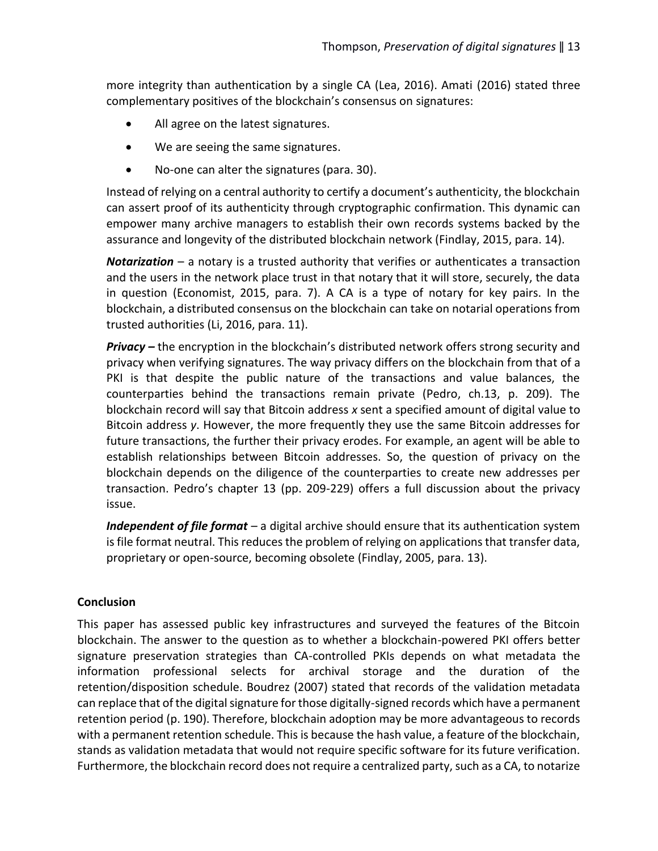more integrity than authentication by a single CA (Lea, 2016). Amati (2016) stated three complementary positives of the blockchain's consensus on signatures:

- All agree on the latest signatures.
- We are seeing the same signatures.
- No-one can alter the signatures (para. 30).

Instead of relying on a central authority to certify a document's authenticity, the blockchain can assert proof of its authenticity through cryptographic confirmation. This dynamic can empower many archive managers to establish their own records systems backed by the assurance and longevity of the distributed blockchain network (Findlay, 2015, para. 14).

*Notarization* – a notary is a trusted authority that verifies or authenticates a transaction and the users in the network place trust in that notary that it will store, securely, the data in question (Economist, 2015, para. 7). A CA is a type of notary for key pairs. In the blockchain, a distributed consensus on the blockchain can take on notarial operations from trusted authorities (Li, 2016, para. 11).

*Privacy –* the encryption in the blockchain's distributed network offers strong security and privacy when verifying signatures. The way privacy differs on the blockchain from that of a PKI is that despite the public nature of the transactions and value balances, the counterparties behind the transactions remain private (Pedro, ch.13, p. 209). The blockchain record will say that Bitcoin address *x* sent a specified amount of digital value to Bitcoin address *y*. However, the more frequently they use the same Bitcoin addresses for future transactions, the further their privacy erodes. For example, an agent will be able to establish relationships between Bitcoin addresses. So, the question of privacy on the blockchain depends on the diligence of the counterparties to create new addresses per transaction. Pedro's chapter 13 (pp. 209-229) offers a full discussion about the privacy issue.

*Independent of file format* – a digital archive should ensure that its authentication system is file format neutral. This reduces the problem of relying on applications that transfer data, proprietary or open-source, becoming obsolete (Findlay, 2005, para. 13).

## **Conclusion**

This paper has assessed public key infrastructures and surveyed the features of the Bitcoin blockchain. The answer to the question as to whether a blockchain-powered PKI offers better signature preservation strategies than CA-controlled PKIs depends on what metadata the information professional selects for archival storage and the duration of the retention/disposition schedule. Boudrez (2007) stated that records of the validation metadata can replace that of the digital signature for those digitally-signed records which have a permanent retention period (p. 190). Therefore, blockchain adoption may be more advantageous to records with a permanent retention schedule. This is because the hash value, a feature of the blockchain, stands as validation metadata that would not require specific software for its future verification. Furthermore, the blockchain record does not require a centralized party, such as a CA, to notarize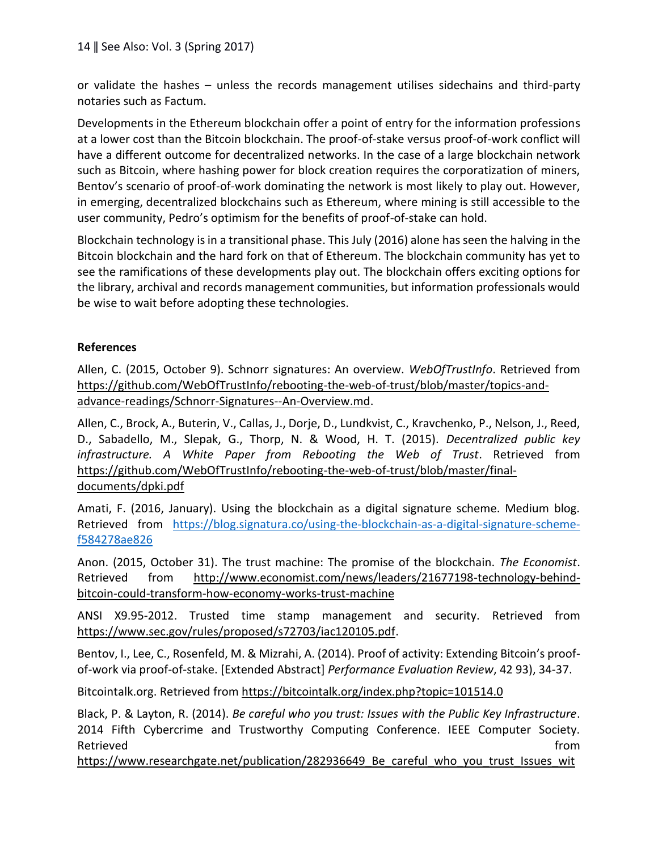or validate the hashes – unless the records management utilises sidechains and third-party notaries such as Factum.

Developments in the Ethereum blockchain offer a point of entry for the information professions at a lower cost than the Bitcoin blockchain. The proof-of-stake versus proof-of-work conflict will have a different outcome for decentralized networks. In the case of a large blockchain network such as Bitcoin, where hashing power for block creation requires the corporatization of miners, Bentov's scenario of proof-of-work dominating the network is most likely to play out. However, in emerging, decentralized blockchains such as Ethereum, where mining is still accessible to the user community, Pedro's optimism for the benefits of proof-of-stake can hold.

Blockchain technology is in a transitional phase. This July (2016) alone has seen the halving in the Bitcoin blockchain and the hard fork on that of Ethereum. The blockchain community has yet to see the ramifications of these developments play out. The blockchain offers exciting options for the library, archival and records management communities, but information professionals would be wise to wait before adopting these technologies.

## **References**

Allen, C. (2015, October 9). Schnorr signatures: An overview. *WebOfTrustInfo*. Retrieved from [https://github.com/WebOfTrustInfo/rebooting-the-web-of-trust/blob/master/topics-and](https://github.com/WebOfTrustInfo/rebooting-the-web-of-trust/blob/master/topics-and-advance-readings/Schnorr-Signatures--An-Overview.md)[advance-readings/Schnorr-Signatures--An-Overview.md.](https://github.com/WebOfTrustInfo/rebooting-the-web-of-trust/blob/master/topics-and-advance-readings/Schnorr-Signatures--An-Overview.md)

Allen, C., Brock, A., Buterin, V., Callas, J., Dorje, D., Lundkvist, C., Kravchenko, P., Nelson, J., Reed, D., Sabadello, M., Slepak, G., Thorp, N. & Wood, H. T. (2015). *Decentralized public key infrastructure. A White Paper from Rebooting the Web of Trust*. Retrieved from [https://github.com/WebOfTrustInfo/rebooting-the-web-of-trust/blob/master/final](https://github.com/WebOfTrustInfo/rebooting-the-web-of-trust/blob/master/final-documents/dpki.pdf)[documents/dpki.pdf](https://github.com/WebOfTrustInfo/rebooting-the-web-of-trust/blob/master/final-documents/dpki.pdf)

Amati, F. (2016, January). Using the blockchain as a digital signature scheme. Medium blog. Retrieved from [https://blog.signatura.co/using-the-blockchain-as-a-digital-signature-scheme](https://blog.signatura.co/using-the-blockchain-as-a-digital-signature-scheme-f584278ae826)[f584278ae826](https://blog.signatura.co/using-the-blockchain-as-a-digital-signature-scheme-f584278ae826)

Anon. (2015, October 31). The trust machine: The promise of the blockchain. *The Economist*. Retrieved from [http://www.economist.com/news/leaders/21677198-technology-behind](http://www.economist.com/news/leaders/21677198-technology-behind-bitcoin-could-transform-how-economy-works-trust-machine)[bitcoin-could-transform-how-economy-works-trust-machine](http://www.economist.com/news/leaders/21677198-technology-behind-bitcoin-could-transform-how-economy-works-trust-machine)

ANSI X9.95-2012. Trusted time stamp management and security. Retrieved from [https://www.sec.gov/rules/proposed/s72703/iac120105.pdf.](https://www.sec.gov/rules/proposed/s72703/iac120105.pdf)

Bentov, I., Lee, C., Rosenfeld, M. & Mizrahi, A. (2014). Proof of activity: Extending Bitcoin's proofof-work via proof-of-stake. [Extended Abstract] *Performance Evaluation Review*, 42 93), 34-37.

Bitcointalk.org. Retrieved from<https://bitcointalk.org/index.php?topic=101514.0>

Black, P. & Layton, R. (2014). *Be careful who you trust: Issues with the Public Key Infrastructure*. 2014 Fifth Cybercrime and Trustworthy Computing Conference. IEEE Computer Society. Retrieved **from** 

https://www.researchgate.net/publication/282936649 Be careful who you trust Issues wit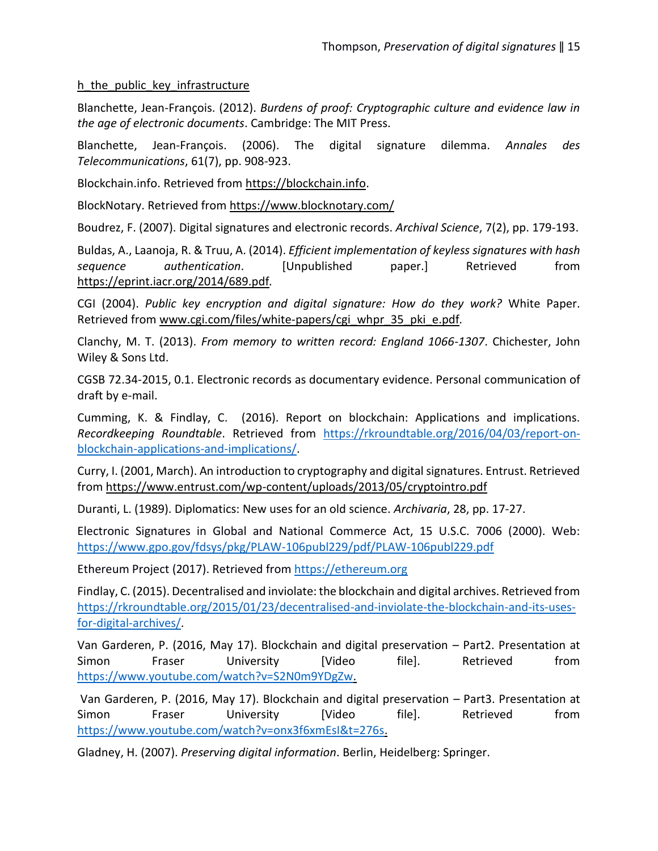#### h the public key infrastructure

Blanchette, Jean-François. (2012). *Burdens of proof: Cryptographic culture and evidence law in the age of electronic documents*. Cambridge: The MIT Press.

Blanchette, Jean-François. (2006). The digital signature dilemma. *Annales des Telecommunications*, 61(7), pp. 908-923.

Blockchain.info. Retrieved from [https://blockchain.info.](https://blockchain.info/)

BlockNotary. Retrieved from<https://www.blocknotary.com/>

Boudrez, F. (2007). Digital signatures and electronic records. *Archival Science*, 7(2), pp. 179-193.

Buldas, A., Laanoja, R. & Truu, A. (2014). *Efficient implementation of keyless signatures with hash sequence authentication*. [Unpublished paper.] Retrieved from <https://eprint.iacr.org/2014/689.pdf>*.*

CGI (2004). *Public key encryption and digital signature: How do they work?* White Paper. Retrieved from [www.cgi.com/files/white-papers/cgi\\_whpr\\_35\\_pki\\_e.pdf](http://www.cgi.com/files/white-papers/cgi_whpr_35_pki_e.pdf)*.*

Clanchy, M. T. (2013). *From memory to written record: England 1066-1307*. Chichester, John Wiley & Sons Ltd.

CGSB 72.34-2015, 0.1. Electronic records as documentary evidence. Personal communication of draft by e-mail.

Cumming, K. & Findlay, C. (2016). Report on blockchain: Applications and implications. *Recordkeeping Roundtable*. Retrieved from [https://rkroundtable.org/2016/04/03/report-on](https://rkroundtable.org/2016/04/03/report-on-blockchain-applications-and-implications/)[blockchain-applications-and-implications/.](https://rkroundtable.org/2016/04/03/report-on-blockchain-applications-and-implications/)

Curry, I. (2001, March). An introduction to cryptography and digital signatures. Entrust. Retrieved from <https://www.entrust.com/wp-content/uploads/2013/05/cryptointro.pdf>

Duranti, L. (1989). Diplomatics: New uses for an old science. *Archivaria*, 28, pp. 17-27.

Electronic Signatures in Global and National Commerce Act, 15 U.S.C. 7006 (2000). Web: <https://www.gpo.gov/fdsys/pkg/PLAW-106publ229/pdf/PLAW-106publ229.pdf>

Ethereum Project (2017). Retrieved from [https://ethereum.org](https://ethereum.org/)

Findlay, C. (2015). Decentralised and inviolate: the blockchain and digital archives. Retrieved from [https://rkroundtable.org/2015/01/23/decentralised-and-inviolate-the-blockchain-and-its-uses](https://rkroundtable.org/2015/01/23/decentralised-and-inviolate-the-blockchain-and-its-uses-for-digital-archives/)[for-digital-archives/.](https://rkroundtable.org/2015/01/23/decentralised-and-inviolate-the-blockchain-and-its-uses-for-digital-archives/)

Van Garderen, P. (2016, May 17). Blockchain and digital preservation – Part2. Presentation at Simon Fraser University [Video file]. Retrieved from [https://www.youtube.com/watch?v=S2N0m9YDgZw.](https://www.youtube.com/watch?v=S2N0m9YDgZw)

[Van Garderen, P. \(2016, May 17\). Blockchain and digital preservation](/home/computerusers/Desktop/%20Van%20Garderen,%20P.%20(2016,%20May%2017).%20Blockchain%20and%20digital%20preservation%20ñ%20Part3.%20Presentation%20at%20Simon%20Fraser%20University%20%5bVideo%20file%5d.%20Retrieved%20from%20https:/www.youtube.com/watch?v=onx3f6xmEsI&t=276s) – Part3. Presentation at Simon Fraser University [Video file]. Retrieved from [https://www.youtube.com/watch?v=onx3f6xmEsI&t=276s.](/home/computerusers/Desktop/%20Van%20Garderen,%20P.%20(2016,%20May%2017).%20Blockchain%20and%20digital%20preservation%20ñ%20Part3.%20Presentation%20at%20Simon%20Fraser%20University%20%5bVideo%20file%5d.%20Retrieved%20from%20https:/www.youtube.com/watch?v=onx3f6xmEsI&t=276s)

Gladney, H. (2007). *Preserving digital information*. Berlin, Heidelberg: Springer.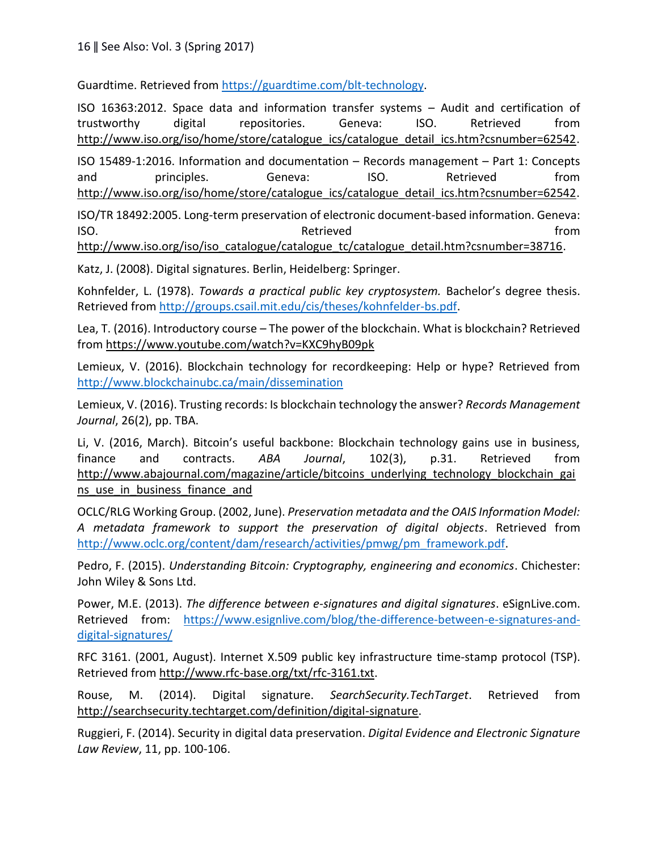Guardtime. Retrieved from [https://guardtime.com/blt-technology.](https://guardtime.com/blt-technology)

ISO 16363:2012. Space data and information transfer systems – Audit and certification of trustworthy digital repositories. Geneva: ISO. Retrieved from [http://www.iso.org/iso/home/store/catalogue\\_ics/catalogue\\_detail\\_ics.htm?csnumber=62542.](http://www.iso.org/iso/home/store/catalogue_ics/catalogue_detail_ics.htm?csnumber=62542) ISO 15489-1:2016. Information and documentation – Records management – Part 1: Concepts and principles. Geneva: ISO. Retrieved from [http://www.iso.org/iso/home/store/catalogue\\_ics/catalogue\\_detail\\_ics.htm?csnumber=62542.](http://www.iso.org/iso/home/store/catalogue_ics/catalogue_detail_ics.htm?csnumber=62542) ISO/TR 18492:2005. Long-term preservation of electronic document-based information. Geneva: ISO. The contract of the contract of the Retrieved contract of the from the from the from  $\mathbb{R}^n$ 

[http://www.iso.org/iso/iso\\_catalogue/catalogue\\_tc/catalogue\\_detail.htm?csnumber=38716.](http://www.iso.org/iso/iso_catalogue/catalogue_tc/catalogue_detail.htm?csnumber=38716)

Katz, J. (2008). Digital signatures. Berlin, Heidelberg: Springer.

Kohnfelder, L. (1978). *Towards a practical public key cryptosystem.* Bachelor's degree thesis. Retrieved from [http://groups.csail.mit.edu/cis/theses/kohnfelder-bs.pdf.](http://groups.csail.mit.edu/cis/theses/kohnfelder-bs.pdf)

Lea, T. (2016). Introductory course – The power of the blockchain. What is blockchain? Retrieved from<https://www.youtube.com/watch?v=KXC9hyB09pk>

Lemieux, V. (2016). Blockchain technology for recordkeeping: Help or hype? Retrieved from <http://www.blockchainubc.ca/main/dissemination>

Lemieux, V. (2016). Trusting records: Is blockchain technology the answer? *Records Management Journal*, 26(2), pp. TBA.

Li, V. (2016, March). Bitcoin's useful backbone: Blockchain technology gains use in business, finance and contracts. *ABA Journal*, 102(3), p.31. Retrieved from [http://www.abajournal.com/magazine/article/bitcoins\\_underlying\\_technology\\_blockchain\\_gai](http://www.abajournal.com/magazine/article/bitcoins_underlying_technology_blockchain_gains_use_in_business_finance_and) ns use in business finance and

OCLC/RLG Working Group. (2002, June). *Preservation metadata and the OAIS Information Model: A metadata framework to support the preservation of digital objects*. Retrieved from [http://www.oclc.org/content/dam/research/activities/pmwg/pm\\_framework.pdf.](http://www.oclc.org/content/dam/research/activities/pmwg/pm_framework.pdf)

Pedro, F. (2015). *Understanding Bitcoin: Cryptography, engineering and economics*. Chichester: John Wiley & Sons Ltd.

Power, M.E. (2013). *The difference between e-signatures and digital signatures*. eSignLive.com. Retrieved from: [https://www.esignlive.com/blog/the-difference-between-e-signatures-and](https://www.esignlive.com/blog/the-difference-between-e-signatures-and-digital-signatures/)[digital-signatures/](https://www.esignlive.com/blog/the-difference-between-e-signatures-and-digital-signatures/)

RFC 3161. (2001, August). Internet X.509 public key infrastructure time-stamp protocol (TSP). Retrieved from [http://www.rfc-base.org/txt/rfc-3161.txt.](http://www.rfc-base.org/txt/rfc-3161.txt)

Rouse, M. (2014). Digital signature. *SearchSecurity.TechTarget*. Retrieved from [http://searchsecurity.techtarget.com/definition/digital-signature.](http://searchsecurity.techtarget.com/definition/digital-signature)

Ruggieri, F. (2014). Security in digital data preservation. *Digital Evidence and Electronic Signature Law Review*, 11, pp. 100-106.